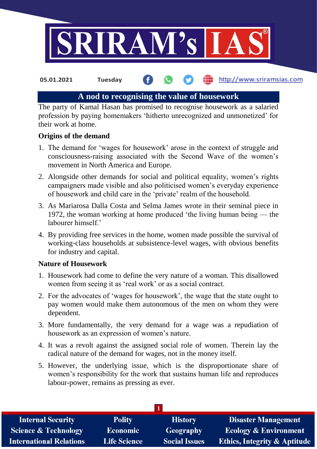

the http://www.sriramsias.com **05.01.2021 Tuesday**

### **A nod to recognising the value of housework**

The party of Kamal Hasan has promised to recognise housework as a salaried profession by paying homemakers 'hitherto unrecognized and unmonetized' for their work at home.

### **Origins of the demand**

- 1. The demand for 'wages for housework' arose in the context of struggle and consciousness-raising associated with the Second Wave of the women's movement in North America and Europe.
- 2. Alongside other demands for social and political equality, women's rights campaigners made visible and also politicised women's everyday experience of housework and child care in the 'private' realm of the household.
- 3. As Mariarosa Dalla Costa and Selma James wrote in their seminal piece in 1972, the woman working at home produced 'the living human being — the labourer himself.'
- 4. By providing free services in the home, women made possible the survival of working-class households at subsistence-level wages, with obvious benefits for industry and capital.

#### **Nature of Housework**

- 1. Housework had come to define the very nature of a woman. This disallowed women from seeing it as 'real work' or as a social contract.
- 2. For the advocates of 'wages for housework', the wage that the state ought to pay women would make them autonomous of the men on whom they were dependent.
- 3. More fundamentally, the very demand for a wage was a repudiation of housework as an expression of women's nature.
- 4. It was a revolt against the assigned social role of women. Therein lay the radical nature of the demand for wages, not in the money itself.
- 5. However, the underlying issue, which is the disproportionate share of women's responsibility for the work that sustains human life and reproduces labour-power, remains as pressing as ever.

| <b>Internal Security</b>        | <b>Polity</b>       | <b>History</b>       | <b>Disaster Management</b>              |
|---------------------------------|---------------------|----------------------|-----------------------------------------|
| <b>Science &amp; Technology</b> | Economic            | <b>Geography</b>     | <b>Ecology &amp; Environment</b>        |
| <b>International Relations</b>  | <b>Life Science</b> | <b>Social Issues</b> | <b>Ethics, Integrity &amp; Aptitude</b> |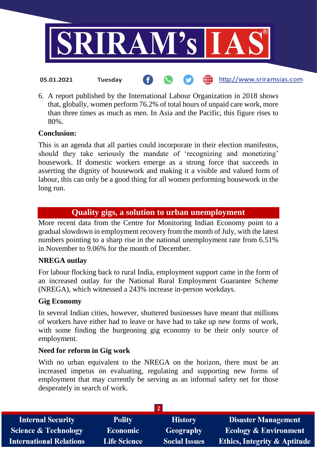

6. A report published by the International Labour Organization in 2018 shows that, globally, women perform 76.2% of total hours of unpaid care work, more than three times as much as men. In Asia and the Pacific, this figure rises to 80%.

### **Conclusion:**

This is an agenda that all parties could incorporate in their election manifestos, should they take seriously the mandate of 'recognizing and monetizing' housework. If domestic workers emerge as a strong force that succeeds in asserting the dignity of housework and making it a visible and valued form of labour, this can only be a good thing for all women performing housework in the long run.

# **Quality gigs, a solution to urban unemployment**

More recent data from the Centre for Monitoring Indian Economy point to a gradual slowdown in employment recovery from the month of July, with the latest numbers pointing to a sharp rise in the national unemployment rate from 6.51% in November to 9.06% for the month of December.

### **NREGA outlay**

For labour flocking back to rural India, employment support came in the form of an increased outlay for the National Rural Employment Guarantee Scheme (NREGA), which witnessed a 243% increase in-person workdays.

### **Gig Economy**

In several Indian cities, however, shuttered businesses have meant that millions of workers have either had to leave or have had to take up new forms of work, with some finding the burgeoning gig economy to be their only source of employment.

### **Need for reform in Gig work**

With no urban equivalent to the NREGA on the horizon, there must be an increased impetus on evaluating, regulating and supporting new forms of employment that may currently be serving as an informal safety net for those desperately in search of work.

| <b>Internal Security</b>        | <b>Polity</b>       | <b>History</b>       | <b>Disaster Management</b>              |
|---------------------------------|---------------------|----------------------|-----------------------------------------|
| <b>Science &amp; Technology</b> | <b>Economic</b>     | Geography            | <b>Ecology &amp; Environment</b>        |
| <b>International Relations</b>  | <b>Life Science</b> | <b>Social Issues</b> | <b>Ethics, Integrity &amp; Aptitude</b> |
|                                 |                     |                      |                                         |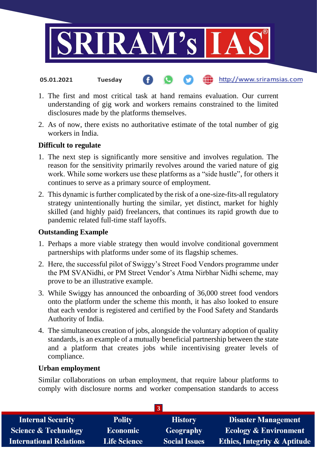

1. The first and most critical task at hand remains evaluation. Our current understanding of gig work and workers remains constrained to the limited

http://www.sriramsias.com

2. As of now, there exists no authoritative estimate of the total number of gig workers in India.

### **Difficult to regulate**

**05.01.2021 Tuesday**

disclosures made by the platforms themselves.

- 1. The next step is significantly more sensitive and involves regulation. The reason for the sensitivity primarily revolves around the varied nature of gig work. While some workers use these platforms as a "side hustle", for others it continues to serve as a primary source of employment.
- 2. This dynamic is further complicated by the risk of a one-size-fits-all regulatory strategy unintentionally hurting the similar, yet distinct, market for highly skilled (and highly paid) freelancers, that continues its rapid growth due to pandemic related full-time staff layoffs.

### **Outstanding Example**

- 1. Perhaps a more viable strategy then would involve conditional government partnerships with platforms under some of its flagship schemes.
- 2. Here, the successful pilot of Swiggy's Street Food Vendors programme under the PM SVANidhi, or PM Street Vendor's Atma Nirbhar Nidhi scheme, may prove to be an illustrative example.
- 3. While Swiggy has announced the onboarding of 36,000 street food vendors onto the platform under the scheme this month, it has also looked to ensure that each vendor is registered and certified by the Food Safety and Standards Authority of India.
- 4. The simultaneous creation of jobs, alongside the voluntary adoption of quality standards, is an example of a mutually beneficial partnership between the state and a platform that creates jobs while incentivising greater levels of compliance.

### **Urban employment**

Similar collaborations on urban employment, that require labour platforms to comply with disclosure norms and worker compensation standards to access

| <b>Internal Security</b>        | <b>Polity</b>       | <b>History</b>       | <b>Disaster Management</b>              |
|---------------------------------|---------------------|----------------------|-----------------------------------------|
| <b>Science &amp; Technology</b> | <b>Economic</b>     | Geography            | <b>Ecology &amp; Environment</b>        |
| <b>International Relations</b>  | <b>Life Science</b> | <b>Social Issues</b> | <b>Ethics, Integrity &amp; Aptitude</b> |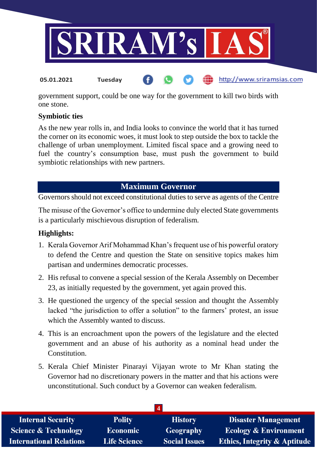

government support, could be one way for the government to kill two birds with one stone.

## **Symbiotic ties**

As the new year rolls in, and India looks to convince the world that it has turned the corner on its economic woes, it must look to step outside the box to tackle the challenge of urban unemployment. Limited fiscal space and a growing need to fuel the country's consumption base, must push the government to build symbiotic relationships with new partners.

# **Maximum Governor**

Governors should not exceed constitutional duties to serve as agents of the Centre

The misuse of the Governor's office to undermine duly elected State governments is a particularly mischievous disruption of federalism.

## **Highlights:**

- 1. Kerala Governor Arif Mohammad Khan's frequent use of his powerful oratory to defend the Centre and question the State on sensitive topics makes him partisan and undermines democratic processes.
- 2. His refusal to convene a special session of the Kerala Assembly on December 23, as initially requested by the government, yet again proved this.
- 3. He questioned the urgency of the special session and thought the Assembly lacked "the jurisdiction to offer a solution" to the farmers' protest, an issue which the Assembly wanted to discuss.
- 4. This is an encroachment upon the powers of the legislature and the elected government and an abuse of his authority as a nominal head under the Constitution.
- 5. Kerala Chief Minister Pinarayi Vijayan wrote to Mr Khan stating the Governor had no discretionary powers in the matter and that his actions were unconstitutional. Such conduct by a Governor can weaken federalism.

| <b>History</b>       | <b>Disaster Management</b>                              |  |  |
|----------------------|---------------------------------------------------------|--|--|
| Geography            | <b>Ecology &amp; Environment</b>                        |  |  |
| <b>Social Issues</b> | <b>Ethics, Integrity &amp; Aptitude</b>                 |  |  |
|                      | <b>Polity</b><br><b>Economic</b><br><b>Life Science</b> |  |  |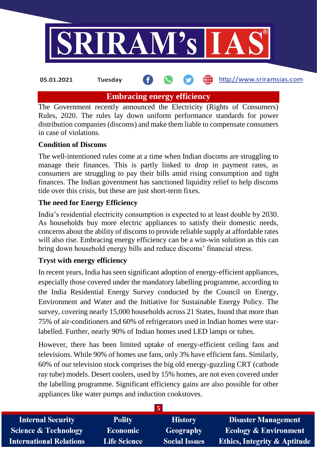

**05.01.2021 Tuesday**

http://www.sriramsias.com

# **Embracing energy efficiency**

The Government recently announced the Electricity (Rights of Consumers) Rules, 2020. The rules lay down uniform performance standards for power distribution companies (discoms) and make them liable to compensate consumers in case of violations.

## **Condition of Discoms**

The well-intentioned rules come at a time when Indian discoms are struggling to manage their finances. This is partly linked to drop in payment rates, as consumers are struggling to pay their bills amid rising consumption and tight finances. The Indian government has sanctioned liquidity relief to help discoms tide over this crisis, but these are just short-term fixes.

## **The need for Energy Efficiency**

India's residential electricity consumption is expected to at least double by 2030. As households buy more electric appliances to satisfy their domestic needs, concerns about the ability of discoms to provide reliable supply at affordable rates will also rise. Embracing energy efficiency can be a win-win solution as this can bring down household energy bills and reduce discoms' financial stress.

## **Tryst with energy efficiency**

In recent years, India has seen significant adoption of energy-efficient appliances, especially those covered under the mandatory labelling programme, according to the India Residential Energy Survey conducted by the Council on Energy, Environment and Water and the Initiative for Sustainable Energy Policy. The survey, covering nearly 15,000 households across 21 States, found that more than 75% of air-conditioners and 60% of refrigerators used in Indian homes were starlabelled. Further, nearly 90% of Indian homes used LED lamps or tubes.

However, there has been limited uptake of energy-efficient ceiling fans and televisions. While 90% of homes use fans, only 3% have efficient fans. Similarly, 60% of our television stock comprises the big old energy-guzzling CRT (cathode ray tube) models. Desert coolers, used by 15% homes, are not even covered under the labelling programme. Significant efficiency gains are also possible for other appliances like water pumps and induction cookstoves.

| <b>Internal Security</b>        | <b>Polity</b>       | <b>History</b>       | <b>Disaster Management</b>              |
|---------------------------------|---------------------|----------------------|-----------------------------------------|
| <b>Science &amp; Technology</b> | <b>Economic</b>     | Geography            | <b>Ecology &amp; Environment</b>        |
| <b>International Relations</b>  | <b>Life Science</b> | <b>Social Issues</b> | <b>Ethics, Integrity &amp; Aptitude</b> |